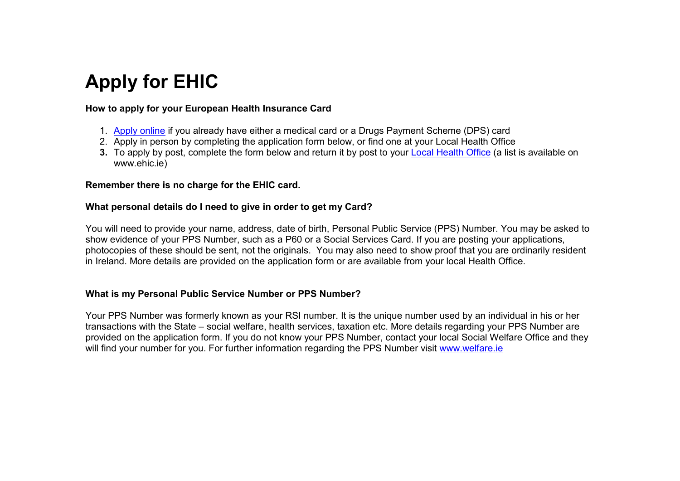# **Apply for EHIC**

#### **How to apply for your European Health Insurance Card**

- 1. Apply online if you already have either a medical card or a Drugs Payment Scheme (DPS) card
- 2. Apply in person by completing the application form below, or find one at your Local Health Office
- **3.** To apply by post, complete the form below and return it by post to your Local Health Office (a list is available on www.ehic.ie)

#### **Remember there is no charge for the EHIC card.**

#### **What personal details do I need to give in order to get my Card?**

You will need to provide your name, address, date of birth, Personal Public Service (PPS) Number. You may be asked to show evidence of your PPS Number, such as a P60 or a Social Services Card. If you are posting your applications, photocopies of these should be sent, not the originals. You may also need to show proof that you are ordinarily resident in Ireland. More details are provided on the application form or are available from your local Health Office.

### **What is my Personal Public Service Number or PPS Number?**

Your PPS Number was formerly known as your RSI number. It is the unique number used by an individual in his or her transactions with the State – social welfare, health services, taxation etc. More details regarding your PPS Number are provided on the application form. If you do not know your PPS Number, contact your local Social Welfare Office and they will find your number for you. For further information regarding the PPS Number visit www.welfare.ie